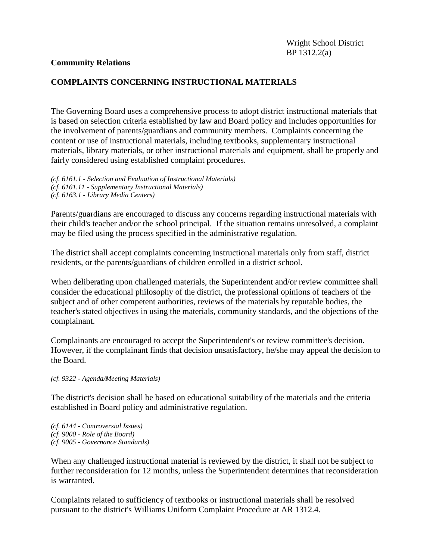# **COMPLAINTS CONCERNING INSTRUCTIONAL MATERIALS**

The Governing Board uses a comprehensive process to adopt district instructional materials that is based on selection criteria established by law and Board policy and includes opportunities for the involvement of parents/guardians and community members. Complaints concerning the content or use of instructional materials, including textbooks, supplementary instructional materials, library materials, or other instructional materials and equipment, shall be properly and fairly considered using established complaint procedures.

*(cf. 6161.1 - Selection and Evaluation of Instructional Materials) (cf. 6161.11 - Supplementary Instructional Materials) (cf. 6163.1 - Library Media Centers)*

Parents/guardians are encouraged to discuss any concerns regarding instructional materials with their child's teacher and/or the school principal. If the situation remains unresolved, a complaint may be filed using the process specified in the administrative regulation.

The district shall accept complaints concerning instructional materials only from staff, district residents, or the parents/guardians of children enrolled in a district school.

When deliberating upon challenged materials, the Superintendent and/or review committee shall consider the educational philosophy of the district, the professional opinions of teachers of the subject and of other competent authorities, reviews of the materials by reputable bodies, the teacher's stated objectives in using the materials, community standards, and the objections of the complainant.

Complainants are encouraged to accept the Superintendent's or review committee's decision. However, if the complainant finds that decision unsatisfactory, he/she may appeal the decision to the Board.

#### *(cf. 9322 - Agenda/Meeting Materials)*

The district's decision shall be based on educational suitability of the materials and the criteria established in Board policy and administrative regulation.

*(cf. 6144 - Controversial Issues) (cf. 9000 - Role of the Board) (cf. 9005 - Governance Standards)*

When any challenged instructional material is reviewed by the district, it shall not be subject to further reconsideration for 12 months, unless the Superintendent determines that reconsideration is warranted.

Complaints related to sufficiency of textbooks or instructional materials shall be resolved pursuant to the district's Williams Uniform Complaint Procedure at AR 1312.4.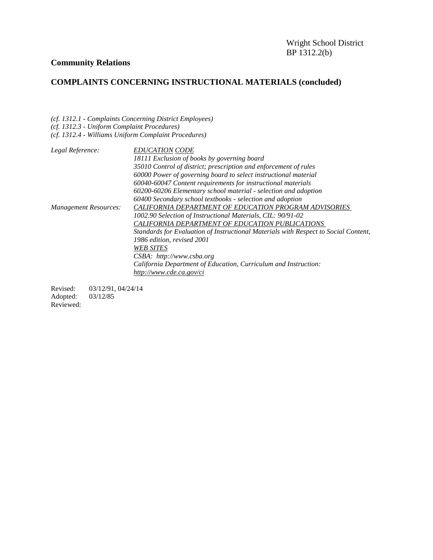# **COMPLAINTS CONCERNING INSTRUCTIONAL MATERIALS (concluded)**

*(cf. 1312.1 - Complaints Concerning District Employees)*

|  |  |  |  | (cf. 1312.3 - Uniform Complaint Procedures) |
|--|--|--|--|---------------------------------------------|
|--|--|--|--|---------------------------------------------|

|  |  | (cf. 1312.4 - Williams Uniform Complaint Procedures) |  |
|--|--|------------------------------------------------------|--|
|--|--|------------------------------------------------------|--|

| Legal Reference:             | <b>EDUCATION CODE</b>                                                               |
|------------------------------|-------------------------------------------------------------------------------------|
|                              | 18111 Exclusion of books by governing board                                         |
|                              | 35010 Control of district; prescription and enforcement of rules                    |
|                              | 60000 Power of governing board to select instructional material                     |
|                              | 60040-60047 Content requirements for instructional materials                        |
|                              | 60200-60206 Elementary school material - selection and adoption                     |
|                              | 60400 Secondary school textbooks - selection and adoption                           |
| <b>Management Resources:</b> | CALIFORNIA DEPARTMENT OF EDUCATION PROGRAM ADVISORIES                               |
|                              | 1002.90 Selection of Instructional Materials, CIL: 90/91-02                         |
|                              | CALIFORNIA DEPARTMENT OF EDUCATION PUBLICATIONS                                     |
|                              | Standards for Evaluation of Instructional Materials with Respect to Social Content, |
|                              | 1986 edition, revised 2001                                                          |
|                              | <b>WEB SITES</b>                                                                    |
|                              | $CSBA:$ http://www.csba.org                                                         |
|                              | California Department of Education, Curriculum and Instruction:                     |
|                              | http://www.cde.ca.gov/ci                                                            |
|                              |                                                                                     |

Revised: 03/12/91, 04/24/14 Adopted: 03/12/85 Reviewed: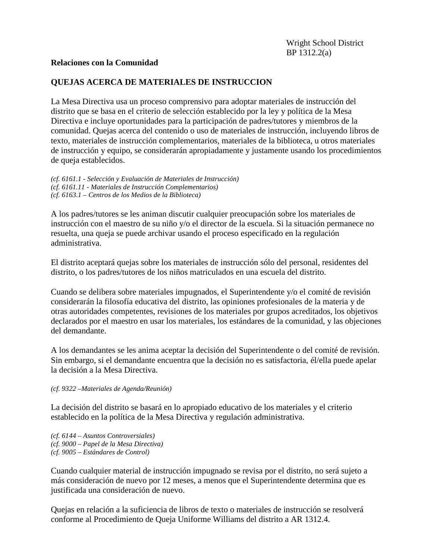# **QUEJAS ACERCA DE MATERIALES DE INSTRUCCION**

La Mesa Directiva usa un proceso comprensivo para adoptar materiales de instrucción del distrito que se basa en el criterio de selección establecido por la ley y política de la Mesa Directiva e incluye oportunidades para la participación de padres/tutores y miembros de la comunidad. Quejas acerca del contenido o uso de materiales de instrucción, incluyendo libros de texto, materiales de instrucción complementarios, materiales de la biblioteca, u otros materiales de instrucción y equipo, se considerarán apropiadamente y justamente usando los procedimientos de queja establecidos.

*(cf. 6161.1 - Selección y Evaluación de Materiales de Instrucción) (cf. 6161.11 - Materiales de Instrucción Complementarios) (cf. 6163.1 – Centros de los Medios de la Biblioteca)*

A los padres/tutores se les animan discutir cualquier preocupación sobre los materiales de instrucción con el maestro de su niño y/o el director de la escuela. Si la situación permanece no resuelta, una queja se puede archivar usando el proceso especificado en la regulación administrativa.

El distrito aceptará quejas sobre los materiales de instrucción sólo del personal, residentes del distrito, o los padres/tutores de los niños matriculados en una escuela del distrito.

Cuando se delibera sobre materiales impugnados, el Superintendente y/o el comité de revisión considerarán la filosofía educativa del distrito, las opiniones profesionales de la materia y de otras autoridades competentes, revisiones de los materiales por grupos acreditados, los objetivos declarados por el maestro en usar los materiales, los estándares de la comunidad, y las objeciones del demandante.

A los demandantes se les anima aceptar la decisión del Superintendente o del comité de revisión. Sin embargo, si el demandante encuentra que la decisión no es satisfactoria, él/ella puede apelar la decisión a la Mesa Directiva.

#### *(cf. 9322 –Materiales de Agenda/Reunión)*

La decisión del distrito se basará en lo apropiado educativo de los materiales y el criterio establecido en la política de la Mesa Directiva y regulación administrativa.

*(cf. 6144 – Asuntos Controversiales) (cf. 9000 – Papel de la Mesa Directiva) (cf. 9005 – Estándares de Control)*

Cuando cualquier material de instrucción impugnado se revisa por el distrito, no será sujeto a más consideración de nuevo por 12 meses, a menos que el Superintendente determina que es justificada una consideración de nuevo.

Quejas en relación a la suficiencia de libros de texto o materiales de instrucción se resolverá conforme al Procedimiento de Queja Uniforme Williams del distrito a AR 1312.4.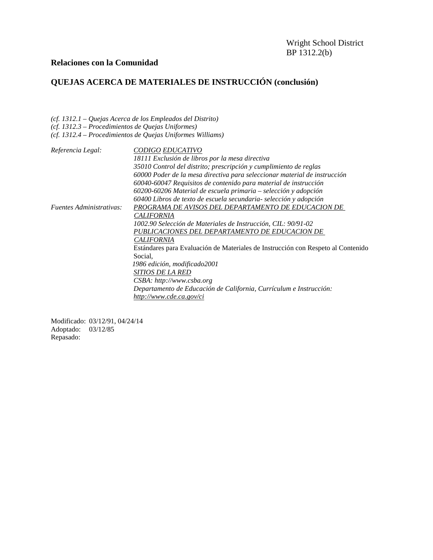# **QUEJAS ACERCA DE MATERIALES DE INSTRUCCIÓN (conclusión)**

*(cf. 1312.1 – Quejas Acerca de los Empleados del Distrito)*

*(cf. 1312.3 – Procedimientos de Quejas Uniformes)*

*(cf. 1312.4 – Procedimientos de Quejas Uniformes Williams)*

| Referencia Legal:               | <i>CODIGO EDUCATIVO</i>                                                          |
|---------------------------------|----------------------------------------------------------------------------------|
|                                 | 18111 Exclusión de libros por la mesa directiva                                  |
|                                 | 35010 Control del distrito; prescripción y cumplimiento de reglas                |
|                                 | 60000 Poder de la mesa directiva para seleccionar material de instrucción        |
|                                 | 60040-60047 Requisitos de contenido para material de instrucción                 |
|                                 | 60200-60206 Material de escuela primaria - selección y adopción                  |
|                                 | 60400 Libros de texto de escuela secundaria- selección y adopción                |
| <i>Fuentes Administrativas:</i> | PROGRAMA DE AVISOS DEL DEPARTAMENTO DE EDUCACION DE                              |
|                                 | <b>CALIFORNIA</b>                                                                |
|                                 | 1002.90 Selección de Materiales de Instrucción, CIL: 90/91-02                    |
|                                 | PUBLICACIONES DEL DEPARTAMENTO DE EDUCACION DE                                   |
|                                 | <b>CALIFORNIA</b>                                                                |
|                                 | Estándares para Evaluación de Materiales de Instrucción con Respeto al Contenido |
|                                 | Social,                                                                          |
|                                 | 1986 edición, modificado2001                                                     |
|                                 | SITIOS DE LA RED                                                                 |
|                                 | CSBA: http://www.csba.org                                                        |
|                                 | Departamento de Educación de California, Currículum e Instrucción:               |
|                                 | http://www.cde.ca.gov/ci                                                         |

Modificado: 03/12/91, 04/24/14 Adoptado: 03/12/85 Repasado: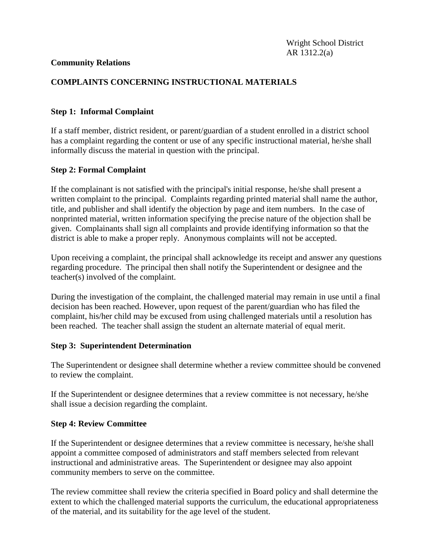# **COMPLAINTS CONCERNING INSTRUCTIONAL MATERIALS**

# **Step 1: Informal Complaint**

If a staff member, district resident, or parent/guardian of a student enrolled in a district school has a complaint regarding the content or use of any specific instructional material, he/she shall informally discuss the material in question with the principal.

## **Step 2: Formal Complaint**

If the complainant is not satisfied with the principal's initial response, he/she shall present a written complaint to the principal. Complaints regarding printed material shall name the author, title, and publisher and shall identify the objection by page and item numbers. In the case of nonprinted material, written information specifying the precise nature of the objection shall be given. Complainants shall sign all complaints and provide identifying information so that the district is able to make a proper reply. Anonymous complaints will not be accepted.

Upon receiving a complaint, the principal shall acknowledge its receipt and answer any questions regarding procedure. The principal then shall notify the Superintendent or designee and the teacher(s) involved of the complaint.

During the investigation of the complaint, the challenged material may remain in use until a final decision has been reached. However, upon request of the parent/guardian who has filed the complaint, his/her child may be excused from using challenged materials until a resolution has been reached. The teacher shall assign the student an alternate material of equal merit.

#### **Step 3: Superintendent Determination**

The Superintendent or designee shall determine whether a review committee should be convened to review the complaint.

If the Superintendent or designee determines that a review committee is not necessary, he/she shall issue a decision regarding the complaint.

# **Step 4: Review Committee**

If the Superintendent or designee determines that a review committee is necessary, he/she shall appoint a committee composed of administrators and staff members selected from relevant instructional and administrative areas. The Superintendent or designee may also appoint community members to serve on the committee.

The review committee shall review the criteria specified in Board policy and shall determine the extent to which the challenged material supports the curriculum, the educational appropriateness of the material, and its suitability for the age level of the student.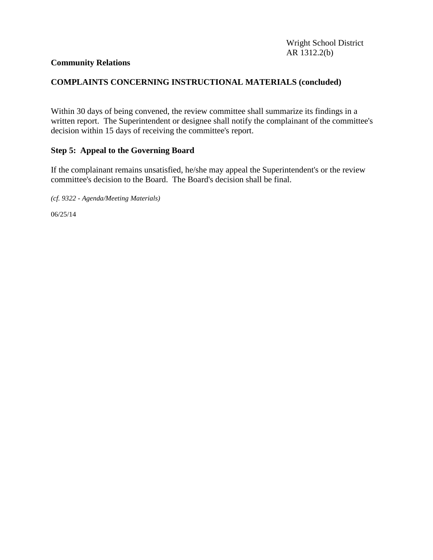# **COMPLAINTS CONCERNING INSTRUCTIONAL MATERIALS (concluded)**

Within 30 days of being convened, the review committee shall summarize its findings in a written report. The Superintendent or designee shall notify the complainant of the committee's decision within 15 days of receiving the committee's report.

## **Step 5: Appeal to the Governing Board**

If the complainant remains unsatisfied, he/she may appeal the Superintendent's or the review committee's decision to the Board. The Board's decision shall be final.

*(cf. 9322 - Agenda/Meeting Materials)*

06/25/14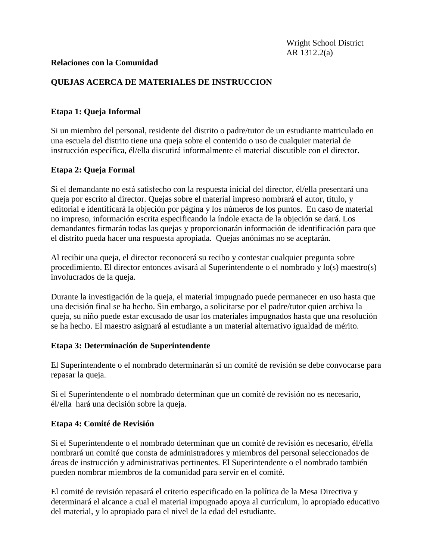# **QUEJAS ACERCA DE MATERIALES DE INSTRUCCION**

#### **Etapa 1: Queja Informal**

Si un miembro del personal, residente del distrito o padre/tutor de un estudiante matriculado en una escuela del distrito tiene una queja sobre el contenido o uso de cualquier material de instrucción específica, él/ella discutirá informalmente el material discutible con el director.

## **Etapa 2: Queja Formal**

Si el demandante no está satisfecho con la respuesta inicial del director, él/ella presentará una queja por escrito al director. Quejas sobre el material impreso nombrará el autor, titulo, y editorial e identificará la objeción por página y los números de los puntos. En caso de material no impreso, información escrita especificando la índole exacta de la objeción se dará. Los demandantes firmarán todas las quejas y proporcionarán información de identificación para que el distrito pueda hacer una respuesta apropiada. Quejas anónimas no se aceptarán.

Al recibir una queja, el director reconocerá su recibo y contestar cualquier pregunta sobre procedimiento. El director entonces avisará al Superintendente o el nombrado y lo(s) maestro(s) involucrados de la queja.

Durante la investigación de la queja, el material impugnado puede permanecer en uso hasta que una decisión final se ha hecho. Sin embargo, a solicitarse por el padre/tutor quien archiva la queja, su niño puede estar excusado de usar los materiales impugnados hasta que una resolución se ha hecho. El maestro asignará al estudiante a un material alternativo igualdad de mérito.

#### **Etapa 3: Determinación de Superintendente**

El Superintendente o el nombrado determinarán si un comité de revisión se debe convocarse para repasar la queja.

Si el Superintendente o el nombrado determinan que un comité de revisión no es necesario, él/ella hará una decisión sobre la queja.

#### **Etapa 4: Comité de Revisión**

Si el Superintendente o el nombrado determinan que un comité de revisión es necesario, él/ella nombrará un comité que consta de administradores y miembros del personal seleccionados de áreas de instrucción y administrativas pertinentes. El Superintendente o el nombrado también pueden nombrar miembros de la comunidad para servir en el comité.

El comité de revisión repasará el criterio especificado en la política de la Mesa Directiva y determinará el alcance a cual el material impugnado apoya al currículum, lo apropiado educativo del material, y lo apropiado para el nivel de la edad del estudiante.